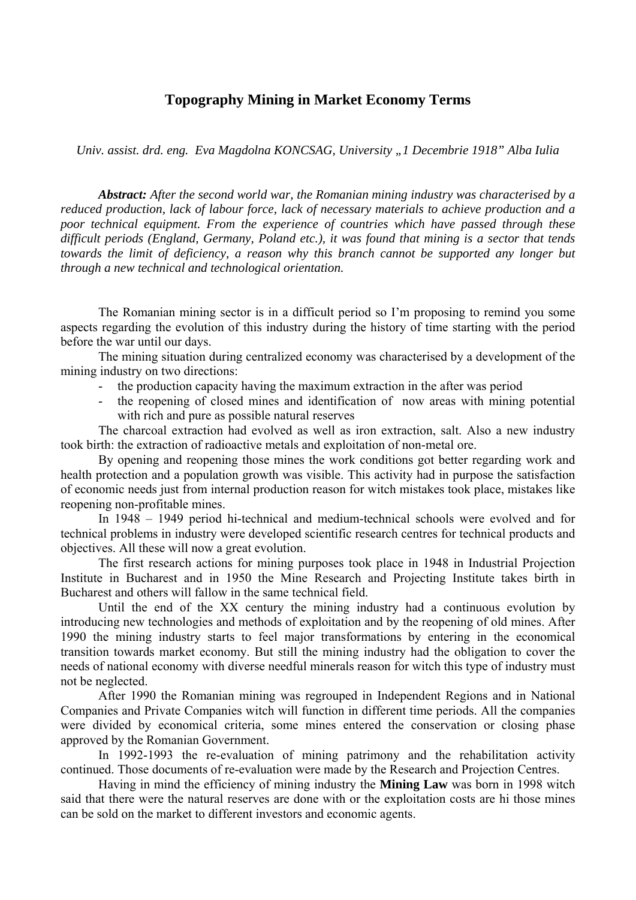## **Topography Mining in Market Economy Terms**

*Univ. assist. drd. eng. Eva Magdolna KONCSAG, University "1 Decembrie 1918" Alba Iulia* 

*Abstract: After the second world war, the Romanian mining industry was characterised by a reduced production, lack of labour force, lack of necessary materials to achieve production and a poor technical equipment. From the experience of countries which have passed through these difficult periods (England, Germany, Poland etc.), it was found that mining is a sector that tends towards the limit of deficiency, a reason why this branch cannot be supported any longer but through a new technical and technological orientation.* 

The Romanian mining sector is in a difficult period so I'm proposing to remind you some aspects regarding the evolution of this industry during the history of time starting with the period before the war until our days.

The mining situation during centralized economy was characterised by a development of the mining industry on two directions:

- the production capacity having the maximum extraction in the after was period
- the reopening of closed mines and identification of now areas with mining potential with rich and pure as possible natural reserves

The charcoal extraction had evolved as well as iron extraction, salt. Also a new industry took birth: the extraction of radioactive metals and exploitation of non-metal ore.

By opening and reopening those mines the work conditions got better regarding work and health protection and a population growth was visible. This activity had in purpose the satisfaction of economic needs just from internal production reason for witch mistakes took place, mistakes like reopening non-profitable mines.

In 1948 – 1949 period hi-technical and medium-technical schools were evolved and for technical problems in industry were developed scientific research centres for technical products and objectives. All these will now a great evolution.

The first research actions for mining purposes took place in 1948 in Industrial Projection Institute in Bucharest and in 1950 the Mine Research and Projecting Institute takes birth in Bucharest and others will fallow in the same technical field.

Until the end of the XX century the mining industry had a continuous evolution by introducing new technologies and methods of exploitation and by the reopening of old mines. After 1990 the mining industry starts to feel major transformations by entering in the economical transition towards market economy. But still the mining industry had the obligation to cover the needs of national economy with diverse needful minerals reason for witch this type of industry must not be neglected.

After 1990 the Romanian mining was regrouped in Independent Regions and in National Companies and Private Companies witch will function in different time periods. All the companies were divided by economical criteria, some mines entered the conservation or closing phase approved by the Romanian Government.

In 1992-1993 the re-evaluation of mining patrimony and the rehabilitation activity continued. Those documents of re-evaluation were made by the Research and Projection Centres.

Having in mind the efficiency of mining industry the **Mining Law** was born in 1998 witch said that there were the natural reserves are done with or the exploitation costs are hi those mines can be sold on the market to different investors and economic agents.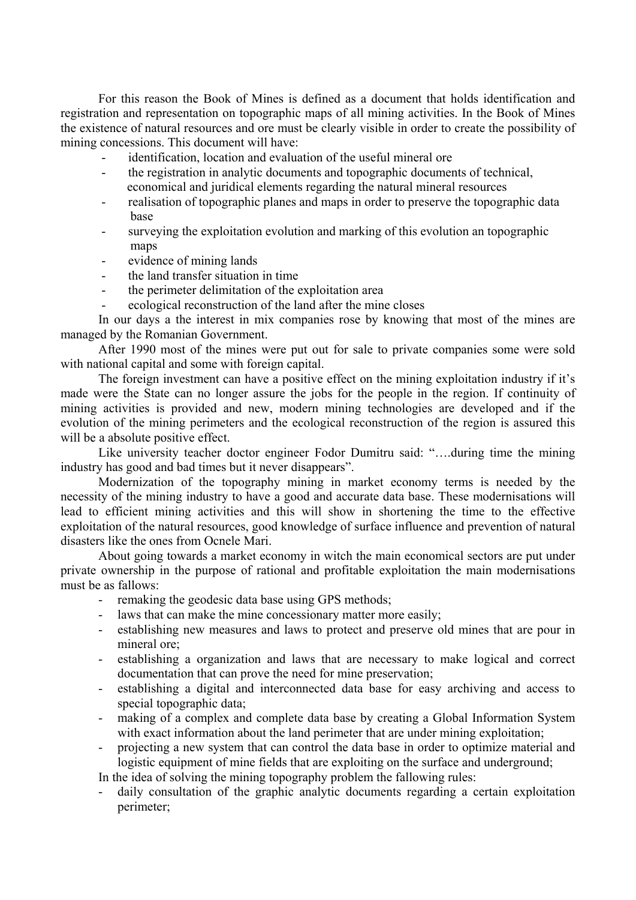For this reason the Book of Mines is defined as a document that holds identification and registration and representation on topographic maps of all mining activities. In the Book of Mines the existence of natural resources and ore must be clearly visible in order to create the possibility of mining concessions. This document will have:

- identification, location and evaluation of the useful mineral ore
- the registration in analytic documents and topographic documents of technical, economical and juridical elements regarding the natural mineral resources
- realisation of topographic planes and maps in order to preserve the topographic data base
- surveying the exploitation evolution and marking of this evolution an topographic maps
- evidence of mining lands
- the land transfer situation in time
- the perimeter delimitation of the exploitation area
- ecological reconstruction of the land after the mine closes

In our days a the interest in mix companies rose by knowing that most of the mines are managed by the Romanian Government.

After 1990 most of the mines were put out for sale to private companies some were sold with national capital and some with foreign capital.

The foreign investment can have a positive effect on the mining exploitation industry if it's made were the State can no longer assure the jobs for the people in the region. If continuity of mining activities is provided and new, modern mining technologies are developed and if the evolution of the mining perimeters and the ecological reconstruction of the region is assured this will be a absolute positive effect.

Like university teacher doctor engineer Fodor Dumitru said: "….during time the mining industry has good and bad times but it never disappears".

Modernization of the topography mining in market economy terms is needed by the necessity of the mining industry to have a good and accurate data base. These modernisations will lead to efficient mining activities and this will show in shortening the time to the effective exploitation of the natural resources, good knowledge of surface influence and prevention of natural disasters like the ones from Ocnele Mari.

About going towards a market economy in witch the main economical sectors are put under private ownership in the purpose of rational and profitable exploitation the main modernisations must be as fallows:

- remaking the geodesic data base using GPS methods;
- laws that can make the mine concessionary matter more easily;
- establishing new measures and laws to protect and preserve old mines that are pour in mineral ore;
- establishing a organization and laws that are necessary to make logical and correct documentation that can prove the need for mine preservation;
- establishing a digital and interconnected data base for easy archiving and access to special topographic data;
- making of a complex and complete data base by creating a Global Information System with exact information about the land perimeter that are under mining exploitation;
- projecting a new system that can control the data base in order to optimize material and logistic equipment of mine fields that are exploiting on the surface and underground;

In the idea of solving the mining topography problem the fallowing rules:

daily consultation of the graphic analytic documents regarding a certain exploitation perimeter;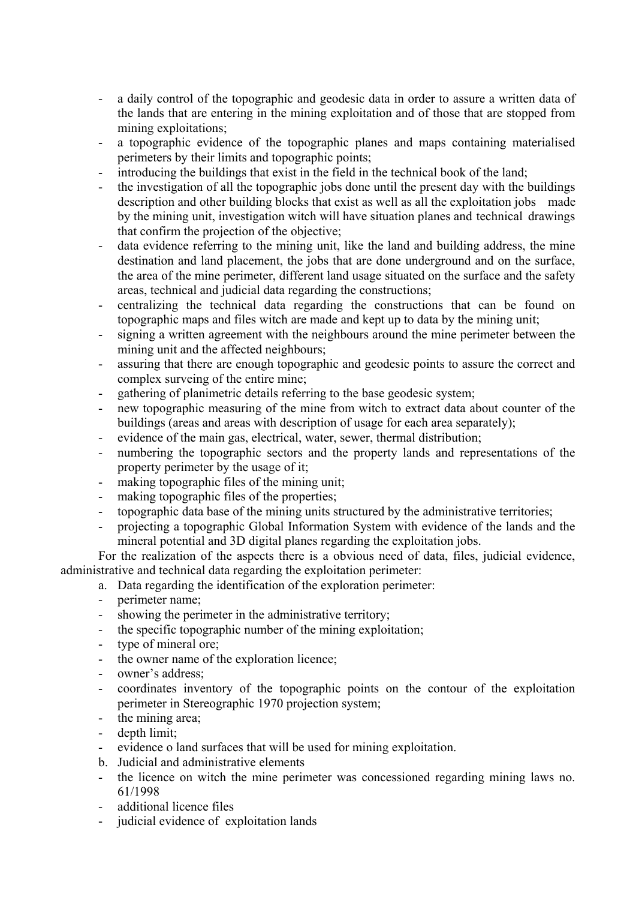- a daily control of the topographic and geodesic data in order to assure a written data of the lands that are entering in the mining exploitation and of those that are stopped from mining exploitations;
- a topographic evidence of the topographic planes and maps containing materialised perimeters by their limits and topographic points;
- introducing the buildings that exist in the field in the technical book of the land;
- the investigation of all the topographic jobs done until the present day with the buildings description and other building blocks that exist as well as all the exploitation jobs made by the mining unit, investigation witch will have situation planes and technical drawings that confirm the projection of the objective;
- data evidence referring to the mining unit, like the land and building address, the mine destination and land placement, the jobs that are done underground and on the surface, the area of the mine perimeter, different land usage situated on the surface and the safety areas, technical and judicial data regarding the constructions;
- centralizing the technical data regarding the constructions that can be found on topographic maps and files witch are made and kept up to data by the mining unit;
- signing a written agreement with the neighbours around the mine perimeter between the mining unit and the affected neighbours;
- assuring that there are enough topographic and geodesic points to assure the correct and complex surveing of the entire mine;
- gathering of planimetric details referring to the base geodesic system;
- new topographic measuring of the mine from witch to extract data about counter of the buildings (areas and areas with description of usage for each area separately);
- evidence of the main gas, electrical, water, sewer, thermal distribution;
- numbering the topographic sectors and the property lands and representations of the property perimeter by the usage of it;
- making topographic files of the mining unit;
- making topographic files of the properties;
- topographic data base of the mining units structured by the administrative territories;
- projecting a topographic Global Information System with evidence of the lands and the mineral potential and 3D digital planes regarding the exploitation jobs.

For the realization of the aspects there is a obvious need of data, files, judicial evidence, administrative and technical data regarding the exploitation perimeter:

- a. Data regarding the identification of the exploration perimeter:
- perimeter name;
- showing the perimeter in the administrative territory;
- the specific topographic number of the mining exploitation;
- type of mineral ore;
- the owner name of the exploration licence;
- owner's address;
- coordinates inventory of the topographic points on the contour of the exploitation perimeter in Stereographic 1970 projection system;
- the mining area;
- depth limit;
- evidence o land surfaces that will be used for mining exploitation.
- b. Judicial and administrative elements
- the licence on witch the mine perimeter was concessioned regarding mining laws no. 61/1998
- additional licence files
- judicial evidence of exploitation lands